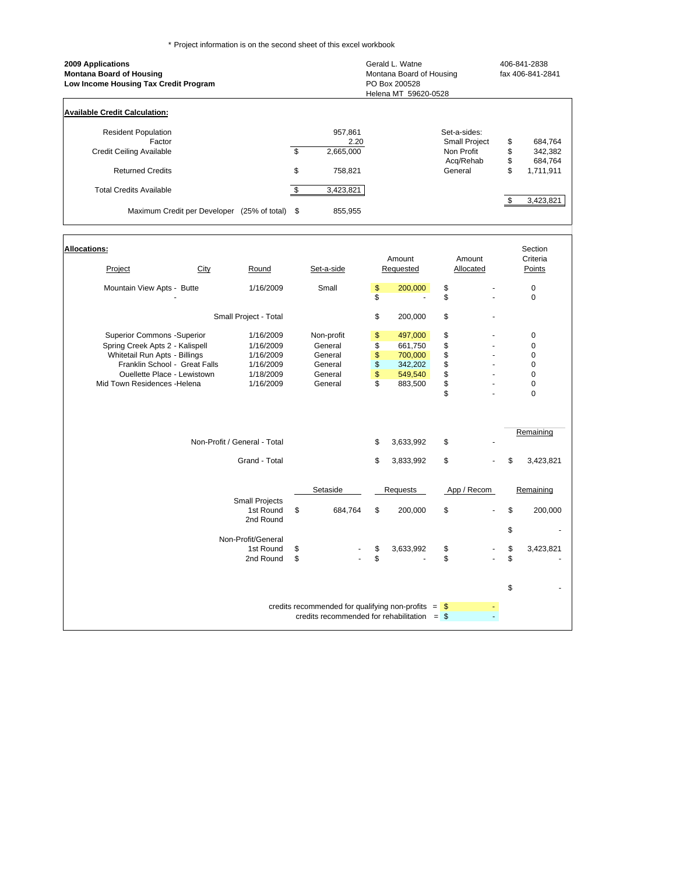\* Project information is on the second sheet of this excel workbook

| 2009 Applications<br><b>Montana Board of Housing</b><br>Low Income Housing Tax Credit Program |     |           | Gerald L. Watne<br>Montana Board of Housing<br>PO Box 200528<br>Helena MT 59620-0528 |    | 406-841-2838<br>fax 406-841-2841 |  |  |  |  |  |  |
|-----------------------------------------------------------------------------------------------|-----|-----------|--------------------------------------------------------------------------------------|----|----------------------------------|--|--|--|--|--|--|
| <b>Available Credit Calculation:</b>                                                          |     |           |                                                                                      |    |                                  |  |  |  |  |  |  |
| <b>Resident Population</b>                                                                    |     | 957,861   | Set-a-sides:                                                                         |    |                                  |  |  |  |  |  |  |
| Factor                                                                                        |     | 2.20      | <b>Small Project</b>                                                                 | \$ | 684,764                          |  |  |  |  |  |  |
| <b>Credit Ceiling Available</b>                                                               | \$  | 2,665,000 | Non Profit                                                                           | \$ | 342,382                          |  |  |  |  |  |  |
|                                                                                               |     |           | Acq/Rehab                                                                            | \$ | 684,764                          |  |  |  |  |  |  |
| <b>Returned Credits</b>                                                                       | \$  | 758,821   | General                                                                              | \$ | 1,711,911                        |  |  |  |  |  |  |
| <b>Total Credits Available</b>                                                                | \$. | 3,423,821 |                                                                                      |    |                                  |  |  |  |  |  |  |
|                                                                                               |     |           |                                                                                      |    | 3,423,821                        |  |  |  |  |  |  |
| Maximum Credit per Developer<br>$(25\% \text{ of total})$ \$                                  |     | 855,955   |                                                                                      |    |                                  |  |  |  |  |  |  |
|                                                                                               |     |           |                                                                                      |    |                                  |  |  |  |  |  |  |
|                                                                                               |     |           |                                                                                      |    |                                  |  |  |  |  |  |  |

| <b>Allocations:</b>               |      |                              |                                                       |          |           |             | Section         |
|-----------------------------------|------|------------------------------|-------------------------------------------------------|----------|-----------|-------------|-----------------|
|                                   |      |                              |                                                       |          | Amount    | Amount      | Criteria        |
| Project                           | City | Round                        | Set-a-side                                            |          | Requested | Allocated   | Points          |
| Mountain View Apts - Butte        |      | 1/16/2009                    | Small                                                 | \$       | 200,000   | \$          | $\mathbf 0$     |
|                                   |      |                              |                                                       | \$       |           | \$          | $\mathbf 0$     |
|                                   |      | Small Project - Total        |                                                       | \$       | 200,000   | \$          |                 |
| <b>Superior Commons -Superior</b> |      | 1/16/2009                    | Non-profit                                            | \$       | 497,000   | \$          | 0               |
| Spring Creek Apts 2 - Kalispell   |      | 1/16/2009                    | General                                               | \$       | 661,750   | \$          | $\pmb{0}$       |
| Whitetail Run Apts - Billings     |      | 1/16/2009                    | General                                               |          | 700,000   | \$          | $\mathbf 0$     |
| Franklin School - Great Falls     |      | 1/16/2009                    | General                                               | \$<br>\$ | 342,202   |             | 0               |
| Ouellette Place - Lewistown       |      | 1/18/2009                    | General                                               | \$       | 549,540   | \$          | $\mathbf 0$     |
| Mid Town Residences - Helena      |      | 1/16/2009                    | General                                               | \$       | 883,500   | \$          | $\mathbf 0$     |
|                                   |      |                              |                                                       |          |           | \$          | $\mathbf 0$     |
|                                   |      |                              |                                                       |          |           |             |                 |
|                                   |      |                              |                                                       |          |           |             | Remaining       |
|                                   |      | Non-Profit / General - Total |                                                       | \$       | 3,633,992 | \$          |                 |
|                                   |      | Grand - Total                |                                                       | \$       | 3,833,992 | \$          | \$<br>3,423,821 |
|                                   |      |                              | Setaside                                              |          | Requests  | App / Recom | Remaining       |
|                                   |      | <b>Small Projects</b>        |                                                       |          |           |             |                 |
|                                   |      | 1st Round                    | \$<br>684,764                                         | \$       | 200,000   | \$          | \$<br>200,000   |
|                                   |      | 2nd Round                    |                                                       |          |           |             | \$              |
|                                   |      | Non-Profit/General           |                                                       |          |           |             |                 |
|                                   |      | 1st Round                    | \$                                                    | \$       | 3,633,992 | \$          | \$<br>3,423,821 |
|                                   |      | 2nd Round                    | \$                                                    | \$       |           | \$          | \$              |
|                                   |      |                              |                                                       |          |           |             |                 |
|                                   |      |                              |                                                       |          |           |             | \$              |
|                                   |      |                              |                                                       |          |           |             |                 |
|                                   |      |                              | credits recommended for qualifying non-profits $=$ \$ |          |           |             |                 |
|                                   |      |                              | credits recommended for rehabilitation $=$ \$         |          |           |             |                 |
|                                   |      |                              |                                                       |          |           |             |                 |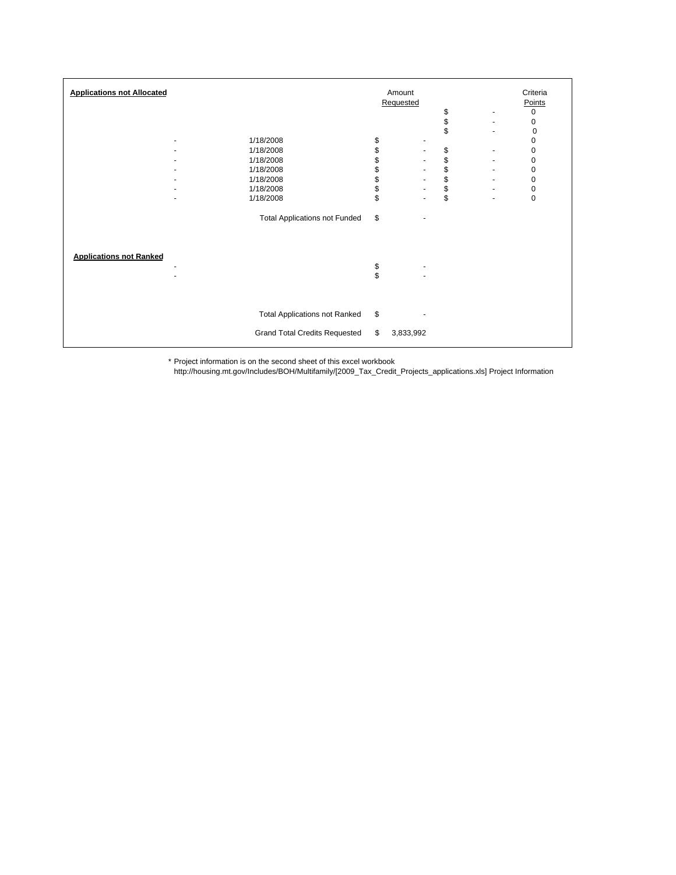| <b>Applications not Allocated</b> |                                      | Amount |                          |               |                              |           |  |  |  |  |  |
|-----------------------------------|--------------------------------------|--------|--------------------------|---------------|------------------------------|-----------|--|--|--|--|--|
|                                   |                                      |        | Requested                |               |                              | Points    |  |  |  |  |  |
|                                   |                                      |        |                          | \$            |                              | 0         |  |  |  |  |  |
|                                   |                                      |        |                          | $\frac{1}{3}$ |                              | 0         |  |  |  |  |  |
|                                   |                                      |        |                          |               |                              | 0         |  |  |  |  |  |
| ٠                                 | 1/18/2008                            | \$     |                          |               |                              | 0         |  |  |  |  |  |
| ٠                                 | 1/18/2008                            | \$     | $\overline{\phantom{a}}$ | \$            |                              | 0         |  |  |  |  |  |
|                                   | 1/18/2008                            | \$     | $\overline{\phantom{a}}$ |               |                              | 0         |  |  |  |  |  |
|                                   | 1/18/2008                            | \$     | $\overline{\phantom{a}}$ | \$            |                              | 0         |  |  |  |  |  |
|                                   | 1/18/2008                            | \$     | $\overline{\phantom{a}}$ |               |                              | $\pmb{0}$ |  |  |  |  |  |
|                                   | 1/18/2008                            | \$     |                          |               |                              | 0         |  |  |  |  |  |
| ٠                                 | 1/18/2008                            | \$     | $\overline{\phantom{a}}$ | \$\$          | $\qquad \qquad \blacksquare$ | $\pmb{0}$ |  |  |  |  |  |
|                                   |                                      |        |                          |               |                              |           |  |  |  |  |  |
|                                   | <b>Total Applications not Funded</b> | \$     |                          |               |                              |           |  |  |  |  |  |
|                                   |                                      |        |                          |               |                              |           |  |  |  |  |  |
| <b>Applications not Ranked</b>    |                                      |        |                          |               |                              |           |  |  |  |  |  |
| ٠                                 |                                      | \$     | ٠                        |               |                              |           |  |  |  |  |  |
| ۰                                 |                                      | \$     |                          |               |                              |           |  |  |  |  |  |
|                                   |                                      |        |                          |               |                              |           |  |  |  |  |  |
|                                   |                                      |        |                          |               |                              |           |  |  |  |  |  |
|                                   | <b>Total Applications not Ranked</b> | \$     |                          |               |                              |           |  |  |  |  |  |
|                                   | <b>Grand Total Credits Requested</b> | \$     | 3,833,992                |               |                              |           |  |  |  |  |  |
|                                   |                                      |        |                          |               |                              |           |  |  |  |  |  |

\* Project information is on the second sheet of this excel workbook

http://housing.mt.gov/Includes/BOH/Multifamily/[2009\_Tax\_Credit\_Projects\_applications.xls] Project Information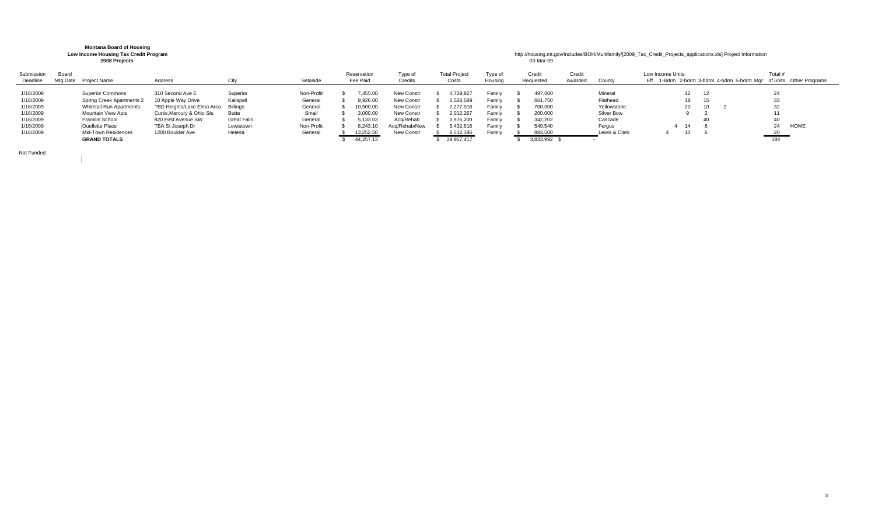## **Montana Board of Housing<br>Low Income Housing Tax Credit Program 2008 Projects** 03-Mar-09

## **Lousing Tax Credit Program Low Income Areas and the Credit Projects applications.**<br> **Low Interview Areas Areas Areas Areas Areas Areas Areas Areas Areas Areas Areas Areas Areas Areas Areas Areas Areas Areas Areas Areas**

| Submission<br>Deadline | Board<br>Mta Date | Project Name                    | Address                    |                    | Setaside   | Reservation<br>Fee Paid | Type of<br>Credits | <b>Total Project</b><br>Costs | Type of<br>Housing | Credit<br>Requested | Credit<br>Awarded | County        | Low Income Units:<br>Eff |    |  | Total # | 1-Bdrm 2-bdrm 3-bdrm 4-bdrm 5-bdrm Mgr of units Other Programs |
|------------------------|-------------------|---------------------------------|----------------------------|--------------------|------------|-------------------------|--------------------|-------------------------------|--------------------|---------------------|-------------------|---------------|--------------------------|----|--|---------|----------------------------------------------------------------|
| 1/16/2009              |                   | <b>Superior Commons</b>         | 310 Second Ave E           | Superior           | Non-Profit | ,455.00                 | New Constr         | 1,729,827                     | Family             | 497,000             |                   | Mineral       |                          |    |  |         |                                                                |
| 1/16/2009              |                   | Spring Creek Apartments 2       | 10 Apple Way Drive         | Kalispell          | Genera     | 9.926.00                | New Constr         | 6,528,589                     | Family             | 661,750             |                   | Flathead      |                          |    |  |         |                                                                |
| 1/16/2009              |                   | <b>Whitetail Run Apartments</b> | TBD Heights/Lake Elmo Area | Billinas           | Genera     | 10,500.00               | New Constr         | 277,918                       | Family             | 700,000             |                   | Yellowstone   |                          | 20 |  |         |                                                                |
| 1/16/2009              |                   | Mountain View Apts              | Curtis, Mercury & Ohio Sts | Butte              | Small      | 3,000.00                | New Constr         | 2,012,267                     | Family             | 200,000             |                   | Silver Bow    |                          |    |  | 11      |                                                                |
| 1/16/2009              |                   | Franklin School                 | 820 First Avenue SW        | <b>Great Falls</b> | Genera     | 5,133.03                | Aca/Rehab          | 3,976,200                     | Family             | 342,202             |                   | Cascade       |                          |    |  |         |                                                                |
| 1/16/2009              |                   | Ouellette Place                 | TBA St Joseph Dr           | Lewistown          | Non-Profit | 8,243.10                | Aca/Rehab/New      | 5,432,616                     | Family             | 549,540             |                   | Fergus        |                          | 14 |  |         | HOME                                                           |
| 1/16/2009              |                   | Mid-Town Residences             | 1200 Boulder Ave           | Helena             | Genera     | 13,252.50               | New Constr         | 8,512,186                     | Family             | 883,500             |                   | Lewis & Clark |                          |    |  | 20      |                                                                |
|                        |                   | <b>GRAND TOTALS</b>             |                            |                    |            | 44.257.13               |                    | 29,957,417                    |                    | 3,833,992           |                   |               |                          |    |  | 184     |                                                                |

Not Funded